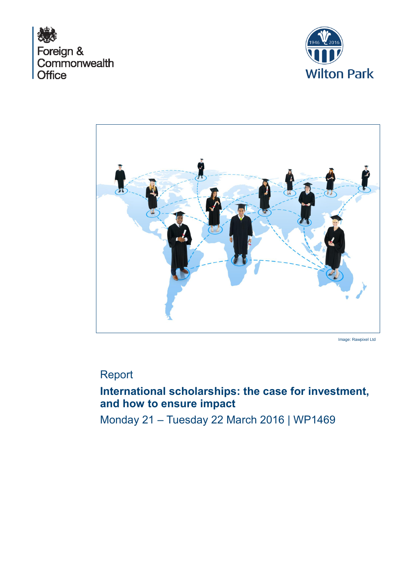





Image: Rawpixel Ltd

# Report

# **International scholarships: the case for investment, and how to ensure impact**

Monday 21 – Tuesday 22 March 2016 | WP1469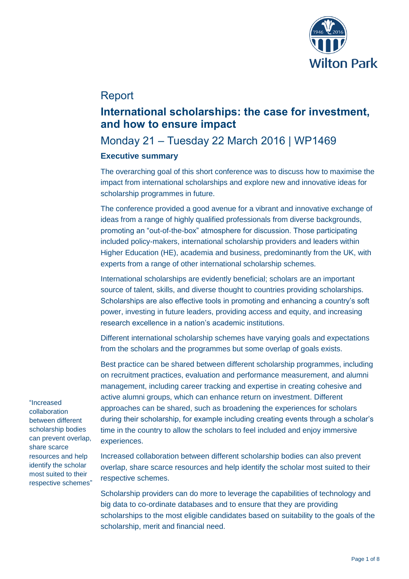

# Report

# **International scholarships: the case for investment, and how to ensure impact**

# Monday 21 – Tuesday 22 March 2016 | WP1469

# **Executive summary**

The overarching goal of this short conference was to discuss how to maximise the impact from international scholarships and explore new and innovative ideas for scholarship programmes in future.

The conference provided a good avenue for a vibrant and innovative exchange of ideas from a range of highly qualified professionals from diverse backgrounds, promoting an "out-of-the-box" atmosphere for discussion. Those participating included policy-makers, international scholarship providers and leaders within Higher Education (HE), academia and business, predominantly from the UK, with experts from a range of other international scholarship schemes.

International scholarships are evidently beneficial; scholars are an important source of talent, skills, and diverse thought to countries providing scholarships. Scholarships are also effective tools in promoting and enhancing a country's soft power, investing in future leaders, providing access and equity, and increasing research excellence in a nation's academic institutions.

Different international scholarship schemes have varying goals and expectations from the scholars and the programmes but some overlap of goals exists.

Best practice can be shared between different scholarship programmes, including on recruitment practices, evaluation and performance measurement, and alumni management, including career tracking and expertise in creating cohesive and active alumni groups, which can enhance return on investment. Different approaches can be shared, such as broadening the experiences for scholars during their scholarship, for example including creating events through a scholar's time in the country to allow the scholars to feel included and enjoy immersive experiences.

Increased collaboration between different scholarship bodies can also prevent overlap, share scarce resources and help identify the scholar most suited to their respective schemes.

Scholarship providers can do more to leverage the capabilities of technology and big data to co-ordinate databases and to ensure that they are providing scholarships to the most eligible candidates based on suitability to the goals of the scholarship, merit and financial need.

"Increased collaboration between different scholarship bodies can prevent overlap, share scarce resources and help identify the scholar most suited to their respective schemes"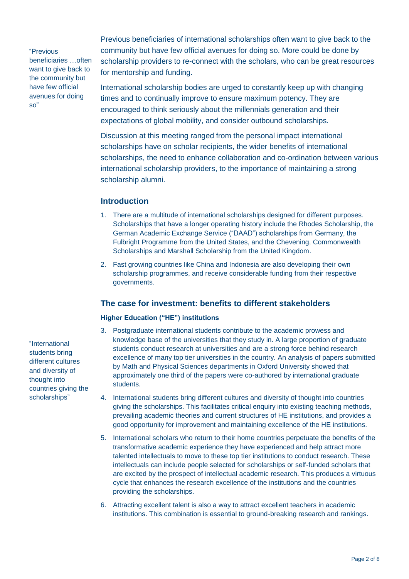"Previous

beneficiaries …often want to give back to the community but have few official avenues for doing so"

Previous beneficiaries of international scholarships often want to give back to the community but have few official avenues for doing so. More could be done by scholarship providers to re-connect with the scholars, who can be great resources for mentorship and funding.

International scholarship bodies are urged to constantly keep up with changing times and to continually improve to ensure maximum potency. They are encouraged to think seriously about the millennials generation and their expectations of global mobility, and consider outbound scholarships.

Discussion at this meeting ranged from the personal impact international scholarships have on scholar recipients, the wider benefits of international scholarships, the need to enhance collaboration and co-ordination between various international scholarship providers, to the importance of maintaining a strong scholarship alumni.

# **Introduction**

- 1. There are a multitude of international scholarships designed for different purposes. Scholarships that have a longer operating history include the Rhodes Scholarship, the German Academic Exchange Service ("DAAD") scholarships from Germany, the Fulbright Programme from the United States, and the Chevening, Commonwealth Scholarships and Marshall Scholarship from the United Kingdom.
- 2. Fast growing countries like China and Indonesia are also developing their own scholarship programmes, and receive considerable funding from their respective governments.

# **The case for investment: benefits to different stakeholders**

# **Higher Education ("HE") institutions**

- 3. Postgraduate international students contribute to the academic prowess and knowledge base of the universities that they study in. A large proportion of graduate students conduct research at universities and are a strong force behind research excellence of many top tier universities in the country. An analysis of papers submitted by Math and Physical Sciences departments in Oxford University showed that approximately one third of the papers were co-authored by international graduate students.
- 4. International students bring different cultures and diversity of thought into countries giving the scholarships. This facilitates critical enquiry into existing teaching methods, prevailing academic theories and current structures of HE institutions, and provides a good opportunity for improvement and maintaining excellence of the HE institutions.
- 5. International scholars who return to their home countries perpetuate the benefits of the transformative academic experience they have experienced and help attract more talented intellectuals to move to these top tier institutions to conduct research. These intellectuals can include people selected for scholarships or self-funded scholars that are excited by the prospect of intellectual academic research. This produces a virtuous cycle that enhances the research excellence of the institutions and the countries providing the scholarships.
- 6. Attracting excellent talent is also a way to attract excellent teachers in academic institutions. This combination is essential to ground-breaking research and rankings.

"International students bring different cultures and diversity of thought into countries giving the scholarships"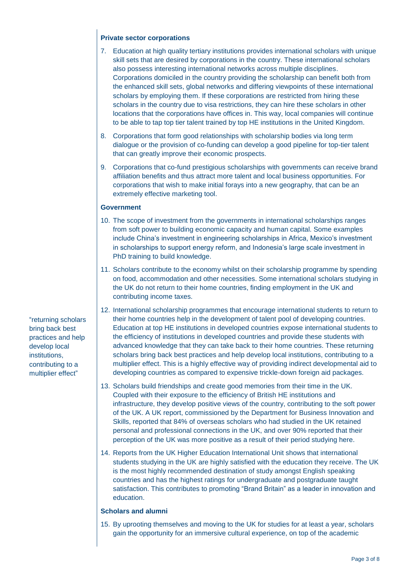### **Private sector corporations**

- 7. Education at high quality tertiary institutions provides international scholars with unique skill sets that are desired by corporations in the country. These international scholars also possess interesting international networks across multiple disciplines. Corporations domiciled in the country providing the scholarship can benefit both from the enhanced skill sets, global networks and differing viewpoints of these international scholars by employing them. If these corporations are restricted from hiring these scholars in the country due to visa restrictions, they can hire these scholars in other locations that the corporations have offices in. This way, local companies will continue to be able to tap top tier talent trained by top HE institutions in the United Kingdom.
- 8. Corporations that form good relationships with scholarship bodies via long term dialogue or the provision of co-funding can develop a good pipeline for top-tier talent that can greatly improve their economic prospects.
- 9. Corporations that co-fund prestigious scholarships with governments can receive brand affiliation benefits and thus attract more talent and local business opportunities. For corporations that wish to make initial forays into a new geography, that can be an extremely effective marketing tool.

# **Government**

- 10. The scope of investment from the governments in international scholarships ranges from soft power to building economic capacity and human capital. Some examples include China's investment in engineering scholarships in Africa, Mexico's investment in scholarships to support energy reform, and Indonesia's large scale investment in PhD training to build knowledge.
- 11. Scholars contribute to the economy whilst on their scholarship programme by spending on food, accommodation and other necessities. Some international scholars studying in the UK do not return to their home countries, finding employment in the UK and contributing income taxes.
- 12. International scholarship programmes that encourage international students to return to their home countries help in the development of talent pool of developing countries. Education at top HE institutions in developed countries expose international students to the efficiency of institutions in developed countries and provide these students with advanced knowledge that they can take back to their home countries. These returning scholars bring back best practices and help develop local institutions, contributing to a multiplier effect. This is a highly effective way of providing indirect developmental aid to developing countries as compared to expensive trickle-down foreign aid packages.
- 13. Scholars build friendships and create good memories from their time in the UK. Coupled with their exposure to the efficiency of British HE institutions and infrastructure, they develop positive views of the country, contributing to the soft power of the UK. A UK report, commissioned by the Department for Business Innovation and Skills, reported that 84% of overseas scholars who had studied in the UK retained personal and professional connections in the UK, and over 90% reported that their perception of the UK was more positive as a result of their period studying here.
- 14. Reports from the UK Higher Education International Unit shows that international students studying in the UK are highly satisfied with the education they receive. The UK is the most highly recommended destination of study amongst English speaking countries and has the highest ratings for undergraduate and postgraduate taught satisfaction. This contributes to promoting "Brand Britain" as a leader in innovation and education.

# **Scholars and alumni**

15. By uprooting themselves and moving to the UK for studies for at least a year, scholars gain the opportunity for an immersive cultural experience, on top of the academic

"returning scholars bring back best practices and help develop local institutions, contributing to a multiplier effect"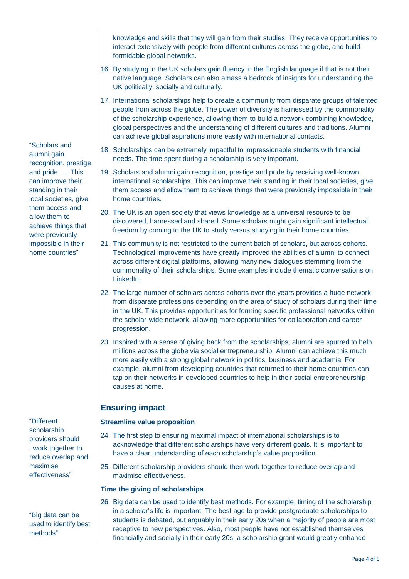knowledge and skills that they will gain from their studies. They receive opportunities to interact extensively with people from different cultures across the globe, and build formidable global networks.

- 16. By studying in the UK scholars gain fluency in the English language if that is not their native language. Scholars can also amass a bedrock of insights for understanding the UK politically, socially and culturally.
- 17. International scholarships help to create a community from disparate groups of talented people from across the globe. The power of diversity is harnessed by the commonality of the scholarship experience, allowing them to build a network combining knowledge, global perspectives and the understanding of different cultures and traditions. Alumni can achieve global aspirations more easily with international contacts.
- 18. Scholarships can be extremely impactful to impressionable students with financial needs. The time spent during a scholarship is very important.
- 19. Scholars and alumni gain recognition, prestige and pride by receiving well-known international scholarships. This can improve their standing in their local societies, give them access and allow them to achieve things that were previously impossible in their home countries.
- 20. The UK is an open society that views knowledge as a universal resource to be discovered, harnessed and shared. Some scholars might gain significant intellectual freedom by coming to the UK to study versus studying in their home countries.
- 21. This community is not restricted to the current batch of scholars, but across cohorts. Technological improvements have greatly improved the abilities of alumni to connect across different digital platforms, allowing many new dialogues stemming from the commonality of their scholarships. Some examples include thematic conversations on LinkedIn.
- 22. The large number of scholars across cohorts over the years provides a huge network from disparate professions depending on the area of study of scholars during their time in the UK. This provides opportunities for forming specific professional networks within the scholar-wide network, allowing more opportunities for collaboration and career progression.
- 23. Inspired with a sense of giving back from the scholarships, alumni are spurred to help millions across the globe via social entrepreneurship. Alumni can achieve this much more easily with a strong global network in politics, business and academia. For example, alumni from developing countries that returned to their home countries can tap on their networks in developed countries to help in their social entrepreneurship causes at home.

# **Ensuring impact**

# **Streamline value proposition**

- 24. The first step to ensuring maximal impact of international scholarships is to acknowledge that different scholarships have very different goals. It is important to have a clear understanding of each scholarship's value proposition.
- 25. Different scholarship providers should then work together to reduce overlap and maximise effectiveness.

# **Time the giving of scholarships**

26. Big data can be used to identify best methods. For example, timing of the scholarship in a scholar's life is important. The best age to provide postgraduate scholarships to students is debated, but arguably in their early 20s when a majority of people are most receptive to new perspectives. Also, most people have not established themselves financially and socially in their early 20s; a scholarship grant would greatly enhance

"Scholars and alumni gain recognition, prestige and pride …. This can improve their standing in their local societies, give them access and allow them to achieve things that were previously impossible in their home countries"

"Different scholarship providers should ..work together to reduce overlap and maximise effectiveness"

"Big data can be used to identify best methods"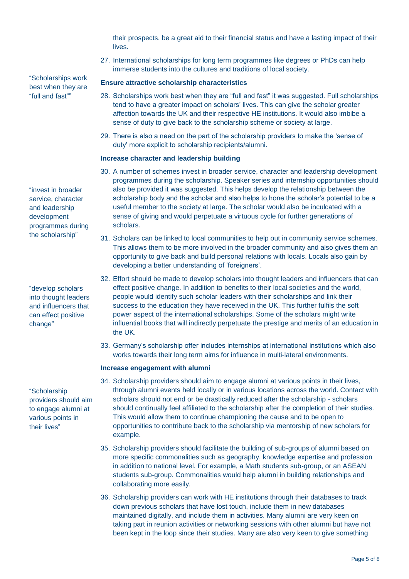their prospects, be a great aid to their financial status and have a lasting impact of their lives.

27. International scholarships for long term programmes like degrees or PhDs can help immerse students into the cultures and traditions of local society.

### **Ensure attractive scholarship characteristics**

- 28. Scholarships work best when they are "full and fast" it was suggested. Full scholarships tend to have a greater impact on scholars' lives. This can give the scholar greater affection towards the UK and their respective HE institutions. It would also imbibe a sense of duty to give back to the scholarship scheme or society at large.
- 29. There is also a need on the part of the scholarship providers to make the 'sense of duty' more explicit to scholarship recipients/alumni.

### **Increase character and leadership building**

- 30. A number of schemes invest in broader service, character and leadership development programmes during the scholarship. Speaker series and internship opportunities should also be provided it was suggested. This helps develop the relationship between the scholarship body and the scholar and also helps to hone the scholar's potential to be a useful member to the society at large. The scholar would also be inculcated with a sense of giving and would perpetuate a virtuous cycle for further generations of scholars.
- 31. Scholars can be linked to local communities to help out in community service schemes. This allows them to be more involved in the broader community and also gives them an opportunity to give back and build personal relations with locals. Locals also gain by developing a better understanding of 'foreigners'.
- 32. Effort should be made to develop scholars into thought leaders and influencers that can effect positive change. In addition to benefits to their local societies and the world, people would identify such scholar leaders with their scholarships and link their success to the education they have received in the UK. This further fulfils the soft power aspect of the international scholarships. Some of the scholars might write influential books that will indirectly perpetuate the prestige and merits of an education in the UK.
- 33. Germany's scholarship offer includes internships at international institutions which also works towards their long term aims for influence in multi-lateral environments.

#### **Increase engagement with alumni**

- 34. Scholarship providers should aim to engage alumni at various points in their lives, through alumni events held locally or in various locations across the world. Contact with scholars should not end or be drastically reduced after the scholarship - scholars should continually feel affiliated to the scholarship after the completion of their studies. This would allow them to continue championing the cause and to be open to opportunities to contribute back to the scholarship via mentorship of new scholars for example.
- 35. Scholarship providers should facilitate the building of sub-groups of alumni based on more specific commonalities such as geography, knowledge expertise and profession in addition to national level. For example, a Math students sub-group, or an ASEAN students sub-group. Commonalities would help alumni in building relationships and collaborating more easily.
- 36. Scholarship providers can work with HE institutions through their databases to track down previous scholars that have lost touch, include them in new databases maintained digitally, and include them in activities. Many alumni are very keen on taking part in reunion activities or networking sessions with other alumni but have not been kept in the loop since their studies. Many are also very keen to give something

"Scholarships work best when they are "full and fast""

"invest in broader service, character and leadership development programmes during the scholarship"

"develop scholars into thought leaders and influencers that can effect positive change"

"Scholarship providers should aim to engage alumni at various points in their lives"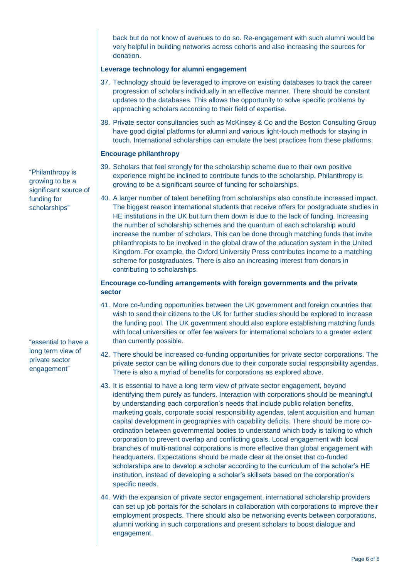back but do not know of avenues to do so. Re-engagement with such alumni would be very helpful in building networks across cohorts and also increasing the sources for donation.

#### **Leverage technology for alumni engagement**

- 37. Technology should be leveraged to improve on existing databases to track the career progression of scholars individually in an effective manner. There should be constant updates to the databases. This allows the opportunity to solve specific problems by approaching scholars according to their field of expertise.
- 38. Private sector consultancies such as McKinsey & Co and the Boston Consulting Group have good digital platforms for alumni and various light-touch methods for staying in touch. International scholarships can emulate the best practices from these platforms.

#### **Encourage philanthropy**

- 39. Scholars that feel strongly for the scholarship scheme due to their own positive experience might be inclined to contribute funds to the scholarship. Philanthropy is growing to be a significant source of funding for scholarships.
- 40. A larger number of talent benefiting from scholarships also constitute increased impact. The biggest reason international students that receive offers for postgraduate studies in HE institutions in the UK but turn them down is due to the lack of funding. Increasing the number of scholarship schemes and the quantum of each scholarship would increase the number of scholars. This can be done through matching funds that invite philanthropists to be involved in the global draw of the education system in the United Kingdom. For example, the Oxford University Press contributes income to a matching scheme for postgraduates. There is also an increasing interest from donors in contributing to scholarships.

### **Encourage co-funding arrangements with foreign governments and the private sector**

- 41. More co-funding opportunities between the UK government and foreign countries that wish to send their citizens to the UK for further studies should be explored to increase the funding pool. The UK government should also explore establishing matching funds with local universities or offer fee waivers for international scholars to a greater extent than currently possible.
- 42. There should be increased co-funding opportunities for private sector corporations. The private sector can be willing donors due to their corporate social responsibility agendas. There is also a myriad of benefits for corporations as explored above.
- 43. It is essential to have a long term view of private sector engagement, beyond identifying them purely as funders. Interaction with corporations should be meaningful by understanding each corporation's needs that include public relation benefits, marketing goals, corporate social responsibility agendas, talent acquisition and human capital development in geographies with capability deficits. There should be more coordination between governmental bodies to understand which body is talking to which corporation to prevent overlap and conflicting goals. Local engagement with local branches of multi-national corporations is more effective than global engagement with headquarters. Expectations should be made clear at the onset that co-funded scholarships are to develop a scholar according to the curriculum of the scholar's HE institution, instead of developing a scholar's skillsets based on the corporation's specific needs.
- 44. With the expansion of private sector engagement, international scholarship providers can set up job portals for the scholars in collaboration with corporations to improve their employment prospects. There should also be networking events between corporations, alumni working in such corporations and present scholars to boost dialogue and engagement.

"Philanthropy is growing to be a significant source of funding for scholarships"

"essential to have a long term view of private sector engagement"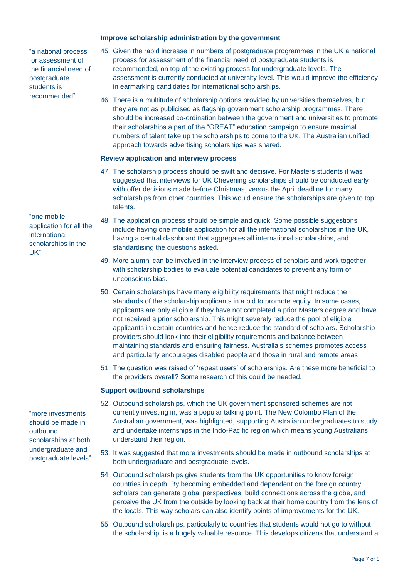"a national process for assessment of the financial need of postgraduate students is recommended"

"one mobile application for all the international scholarships in the UK"

"more investments should be made in outbound scholarships at both undergraduate and postgraduate levels"

#### **Improve scholarship administration by the government**

- 45. Given the rapid increase in numbers of postgraduate programmes in the UK a national process for assessment of the financial need of postgraduate students is recommended, on top of the existing process for undergraduate levels. The assessment is currently conducted at university level. This would improve the efficiency in earmarking candidates for international scholarships.
- 46. There is a multitude of scholarship options provided by universities themselves, but they are not as publicised as flagship government scholarship programmes. There should be increased co-ordination between the government and universities to promote their scholarships a part of the "GREAT" education campaign to ensure maximal numbers of talent take up the scholarships to come to the UK. The Australian unified approach towards advertising scholarships was shared.

#### **Review application and interview process**

- 47. The scholarship process should be swift and decisive. For Masters students it was suggested that interviews for UK Chevening scholarships should be conducted early with offer decisions made before Christmas, versus the April deadline for many scholarships from other countries. This would ensure the scholarships are given to top talents.
- 48. The application process should be simple and quick. Some possible suggestions include having one mobile application for all the international scholarships in the UK, having a central dashboard that aggregates all international scholarships, and standardising the questions asked.
- 49. More alumni can be involved in the interview process of scholars and work together with scholarship bodies to evaluate potential candidates to prevent any form of unconscious bias.
- 50. Certain scholarships have many eligibility requirements that might reduce the standards of the scholarship applicants in a bid to promote equity. In some cases, applicants are only eligible if they have not completed a prior Masters degree and have not received a prior scholarship. This might severely reduce the pool of eligible applicants in certain countries and hence reduce the standard of scholars. Scholarship providers should look into their eligibility requirements and balance between maintaining standards and ensuring fairness. Australia's schemes promotes access and particularly encourages disabled people and those in rural and remote areas.
- 51. The question was raised of 'repeat users' of scholarships. Are these more beneficial to the providers overall? Some research of this could be needed.

#### **Support outbound scholarships**

- 52. Outbound scholarships, which the UK government sponsored schemes are not currently investing in, was a popular talking point. The New Colombo Plan of the Australian government, was highlighted, supporting Australian undergraduates to study and undertake internships in the Indo-Pacific region which means young Australians understand their region.
- 53. It was suggested that more investments should be made in outbound scholarships at both undergraduate and postgraduate levels.
- 54. Outbound scholarships give students from the UK opportunities to know foreign countries in depth. By becoming embedded and dependent on the foreign country scholars can generate global perspectives, build connections across the globe, and perceive the UK from the outside by looking back at their home country from the lens of the locals. This way scholars can also identify points of improvements for the UK.
- 55. Outbound scholarships, particularly to countries that students would not go to without the scholarship, is a hugely valuable resource. This develops citizens that understand a